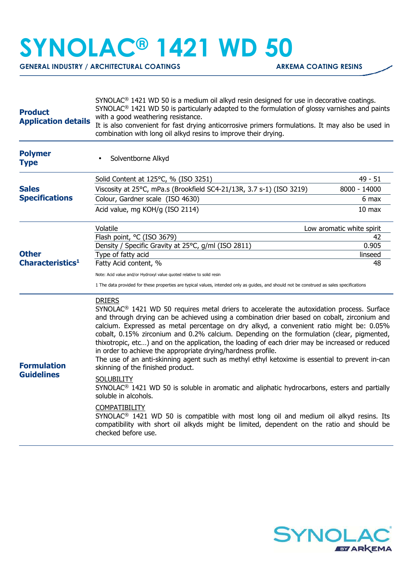## **SYNOLAC® 1421 WD 50**

GENERAL INDUSTRY / ARCHITECTURAL COATINGS **ARKEMA COATING RESINS** 

| <b>Product</b><br><b>Application details</b> | $SYNOLAC®$ 1421 WD 50 is a medium oil alkyd resin designed for use in decorative coatings.<br>$SYNOLAC®$ 1421 WD 50 is particularly adapted to the formulation of glossy varnishes and paints<br>with a good weathering resistance.<br>It is also convenient for fast drying anticorrosive primers formulations. It may also be used in<br>combination with long oil alkyd resins to improve their drying.                                                                                                                                                                                                                                                                                                                                                                                                                                                                                                                                                                                                                                                                                                                        |                           |  |
|----------------------------------------------|-----------------------------------------------------------------------------------------------------------------------------------------------------------------------------------------------------------------------------------------------------------------------------------------------------------------------------------------------------------------------------------------------------------------------------------------------------------------------------------------------------------------------------------------------------------------------------------------------------------------------------------------------------------------------------------------------------------------------------------------------------------------------------------------------------------------------------------------------------------------------------------------------------------------------------------------------------------------------------------------------------------------------------------------------------------------------------------------------------------------------------------|---------------------------|--|
| <b>Polymer</b><br><b>Type</b>                | Solventborne Alkyd                                                                                                                                                                                                                                                                                                                                                                                                                                                                                                                                                                                                                                                                                                                                                                                                                                                                                                                                                                                                                                                                                                                |                           |  |
| <b>Sales</b><br><b>Specifications</b>        | Solid Content at 125°C, % (ISO 3251)                                                                                                                                                                                                                                                                                                                                                                                                                                                                                                                                                                                                                                                                                                                                                                                                                                                                                                                                                                                                                                                                                              | $49 - 51$                 |  |
|                                              | Viscosity at 25°C, mPa.s (Brookfield SC4-21/13R, 3.7 s-1) (ISO 3219)                                                                                                                                                                                                                                                                                                                                                                                                                                                                                                                                                                                                                                                                                                                                                                                                                                                                                                                                                                                                                                                              | 8000 - 14000              |  |
|                                              | Colour, Gardner scale (ISO 4630)                                                                                                                                                                                                                                                                                                                                                                                                                                                                                                                                                                                                                                                                                                                                                                                                                                                                                                                                                                                                                                                                                                  | 6 max                     |  |
|                                              | Acid value, mg KOH/g (ISO 2114)                                                                                                                                                                                                                                                                                                                                                                                                                                                                                                                                                                                                                                                                                                                                                                                                                                                                                                                                                                                                                                                                                                   | 10 <sub>max</sub>         |  |
|                                              | Volatile                                                                                                                                                                                                                                                                                                                                                                                                                                                                                                                                                                                                                                                                                                                                                                                                                                                                                                                                                                                                                                                                                                                          | Low aromatic white spirit |  |
|                                              | Flash point, °C (ISO 3679)                                                                                                                                                                                                                                                                                                                                                                                                                                                                                                                                                                                                                                                                                                                                                                                                                                                                                                                                                                                                                                                                                                        | 42                        |  |
| <b>Other</b><br>Characteristics <sup>1</sup> | Density / Specific Gravity at 25°C, g/ml (ISO 2811)                                                                                                                                                                                                                                                                                                                                                                                                                                                                                                                                                                                                                                                                                                                                                                                                                                                                                                                                                                                                                                                                               | 0.905                     |  |
|                                              | Type of fatty acid<br>Fatty Acid content, %                                                                                                                                                                                                                                                                                                                                                                                                                                                                                                                                                                                                                                                                                                                                                                                                                                                                                                                                                                                                                                                                                       | linseed<br>48             |  |
|                                              |                                                                                                                                                                                                                                                                                                                                                                                                                                                                                                                                                                                                                                                                                                                                                                                                                                                                                                                                                                                                                                                                                                                                   |                           |  |
|                                              | Note: Acid value and/or Hydroxyl value quoted relative to solid resin                                                                                                                                                                                                                                                                                                                                                                                                                                                                                                                                                                                                                                                                                                                                                                                                                                                                                                                                                                                                                                                             |                           |  |
|                                              | 1 The data provided for these properties are typical values, intended only as guides, and should not be construed as sales specifications                                                                                                                                                                                                                                                                                                                                                                                                                                                                                                                                                                                                                                                                                                                                                                                                                                                                                                                                                                                         |                           |  |
| <b>Formulation</b><br><b>Guidelines</b>      | <b>DRIERS</b><br>SYNOLAC <sup>®</sup> 1421 WD 50 requires metal driers to accelerate the autoxidation process. Surface<br>and through drying can be achieved using a combination drier based on cobalt, zirconium and<br>calcium. Expressed as metal percentage on dry alkyd, a convenient ratio might be: 0.05%<br>cobalt, 0.15% zirconium and 0.2% calcium. Depending on the formulation (clear, pigmented,<br>thixotropic, etc) and on the application, the loading of each drier may be increased or reduced<br>in order to achieve the appropriate drying/hardness profile.<br>The use of an anti-skinning agent such as methyl ethyl ketoxime is essential to prevent in-can<br>skinning of the finished product.<br><b>SOLUBILITY</b><br>SYNOLAC <sup>®</sup> 1421 WD 50 is soluble in aromatic and aliphatic hydrocarbons, esters and partially<br>soluble in alcohols.<br><b>COMPATIBILITY</b><br>SYNOLAC <sup>®</sup> 1421 WD 50 is compatible with most long oil and medium oil alkyd resins. Its<br>compatibility with short oil alkyds might be limited, dependent on the ratio and should be<br>checked before use. |                           |  |